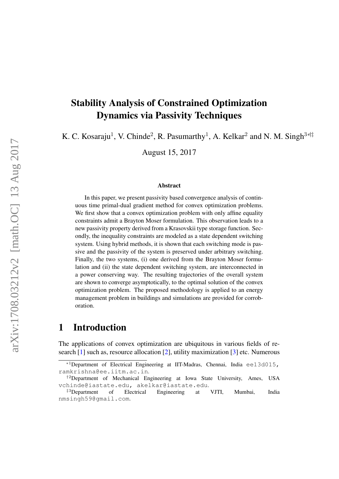# Stability Analysis of Constrained Optimization Dynamics via Passivity Techniques

K. C. Kosaraju<sup>1</sup>, V. Chinde<sup>2</sup>, R. Pasumarthy<sup>1</sup>, A. Kelkar<sup>2</sup> and N. M. Singh<sup>3\*|‡</sup>

August 15, 2017

#### Abstract

In this paper, we present passivity based convergence analysis of continuous time primal-dual gradient method for convex optimization problems. We first show that a convex optimization problem with only affine equality constraints admit a Brayton Moser formulation. This observation leads to a new passivity property derived from a Krasovskii type storage function. Secondly, the inequality constraints are modeled as a state dependent switching system. Using hybrid methods, it is shown that each switching mode is passive and the passivity of the system is preserved under arbitrary switching. Finally, the two systems, (i) one derived from the Brayton Moser formulation and (ii) the state dependent switching system, are interconnected in a power conserving way. The resulting trajectories of the overall system are shown to converge asymptotically, to the optimal solution of the convex optimization problem. The proposed methodology is applied to an energy management problem in buildings and simulations are provided for corroboration.

# 1 Introduction

The applications of convex optimization are ubiquitous in various fields of research [\[1\]](#page-19-0) such as, resource allocation [\[2\]](#page-19-1), utility maximization [\[3\]](#page-19-2) etc. Numerous

 $*$ <sup>1</sup>Department of Electrical Engineering at IIT-Madras, Chennai, India ee13d015, ramkrishna@ee.iitm.ac.in.

<sup>&</sup>lt;sup>†2</sup>Department of Mechanical Engineering at Iowa State University, Ames, USA vchinde@iastate.edu, akelkar@iastate.edu.

<sup>‡</sup><sup>3</sup>Department of Electrical Engineering at VJTI, Mumbai, India nmsingh59@gmail.com.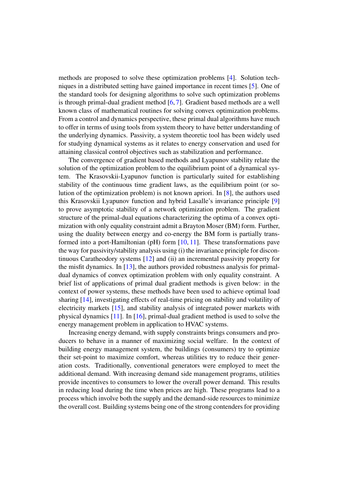methods are proposed to solve these optimization problems [\[4\]](#page-19-3). Solution techniques in a distributed setting have gained importance in recent times [\[5\]](#page-19-4). One of the standard tools for designing algorithms to solve such optimization problems is through primal-dual gradient method  $[6, 7]$  $[6, 7]$  $[6, 7]$ . Gradient based methods are a well known class of mathematical routines for solving convex optimization problems. From a control and dynamics perspective, these primal dual algorithms have much to offer in terms of using tools from system theory to have better understanding of the underlying dynamics. Passivity, a system theoretic tool has been widely used for studying dynamical systems as it relates to energy conservation and used for attaining classical control objectives such as stabilization and performance.

The convergence of gradient based methods and Lyapunov stability relate the solution of the optimization problem to the equilibrium point of a dynamical system. The Krasovskii-Lyapunov function is particularly suited for establishing stability of the continuous time gradient laws, as the equilibrium point (or solution of the optimization problem) is not known apriori. In [\[8\]](#page-20-0), the authors used this Krasovskii Lyapunov function and hybrid Lasalle's invariance principle [\[9\]](#page-20-1) to prove asymptotic stability of a network optimization problem. The gradient structure of the primal-dual equations characterizing the optima of a convex optimization with only equality constraint admit a Brayton Moser (BM) form. Further, using the duality between energy and co-energy the BM form is partially transformed into a port-Hamiltonian (pH) form [\[10,](#page-20-2) [11\]](#page-20-3). These transformations pave the way for passivity/stability analysis using (i) the invariance principle for discontinuous Caratheodory systems [\[12\]](#page-20-4) and (ii) an incremental passivity property for the misfit dynamics. In  $[13]$ , the authors provided robustness analysis for primaldual dynamics of convex optimization problem with only equality constraint. A brief list of applications of primal dual gradient methods is given below: in the context of power systems, these methods have been used to achieve optimal load sharing [\[14\]](#page-20-6), investigating effects of real-time pricing on stability and volatility of electricity markets [\[15\]](#page-20-7), and stability analysis of integrated power markets with physical dynamics [\[11\]](#page-20-3). In [\[16\]](#page-20-8), primal-dual gradient method is used to solve the energy management problem in application to HVAC systems.

Increasing energy demand, with supply constraints brings consumers and producers to behave in a manner of maximizing social welfare. In the context of building energy management system, the buildings (consumers) try to optimize their set-point to maximize comfort, whereas utilities try to reduce their generation costs. Traditionally, conventional generators were employed to meet the additional demand. With increasing demand side management programs, utilities provide incentives to consumers to lower the overall power demand. This results in reducing load during the time when prices are high. These programs lead to a process which involve both the supply and the demand-side resources to minimize the overall cost. Building systems being one of the strong contenders for providing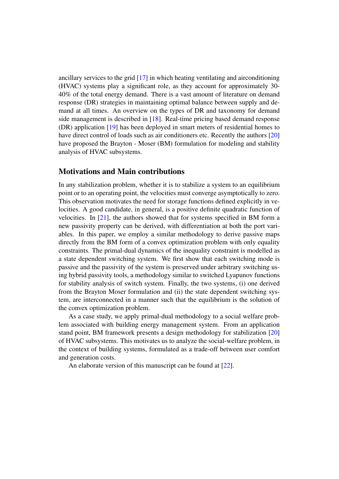ancillary services to the grid [\[17\]](#page-20-9) in which heating ventilating and airconditioning (HVAC) systems play a significant role, as they account for approximately 30- 40% of the total energy demand. There is a vast amount of literature on demand response (DR) strategies in maintaining optimal balance between supply and demand at all times. An overview on the types of DR and taxonomy for demand side management is described in [\[18\]](#page-20-10). Real-time pricing based demand response (DR) application [\[19\]](#page-21-0) has been deployed in smart meters of residential homes to have direct control of loads such as air conditioners etc. Recently the authors [\[20\]](#page-21-1) have proposed the Brayton - Moser (BM) formulation for modeling and stability analysis of HVAC subsystems.

### Motivations and Main contributions

In any stabilization problem, whether it is to stabilize a system to an equilibrium point or to an operating point, the velocities must converge asymptotically to zero. This observation motivates the need for storage functions defined explicitly in velocities. A good candidate, in general, is a positive definite quadratic function of velocities. In [\[21\]](#page-21-2), the authors showed that for systems specified in BM form a new passivity property can be derived, with differentiation at both the port variables. In this paper, we employ a similar methodology to derive passive maps directly from the BM form of a convex optimization problem with only equality constraints. The primal-dual dynamics of the inequality constraint is modelled as a state dependent switching system. We first show that each switching mode is passive and the passivity of the system is preserved under arbitrary switching using hybrid passivity tools, a methodology similar to switched Lyapunov functions for stability analysis of switch system. Finally, the two systems, (i) one derived from the Brayton Moser formulation and (ii) the state dependent switching system, are interconnected in a manner such that the equilibrium is the solution of the convex optimization problem.

As a case study, we apply primal-dual methodology to a social welfare problem associated with building energy management system. From an application stand point, BM framework presents a design methodology for stabilization [\[20\]](#page-21-1) of HVAC subsystems. This motivates us to analyze the social-welfare problem, in the context of building systems, formulated as a trade-off between user comfort and generation costs.

An elaborate version of this manuscript can be found at [\[22\]](#page-21-3).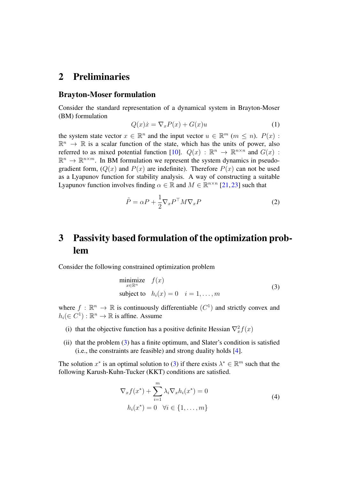## 2 Preliminaries

#### Brayton-Moser formulation

Consider the standard representation of a dynamical system in Brayton-Moser (BM) formulation

$$
Q(x)\dot{x} = \nabla_x P(x) + G(x)u\tag{1}
$$

the system state vector  $x \in \mathbb{R}^n$  and the input vector  $u \in \mathbb{R}^m$   $(m \leq n)$ .  $P(x)$ :  $\mathbb{R}^n \to \mathbb{R}$  is a scalar function of the state, which has the units of power, also referred to as mixed potential function [\[10\]](#page-20-2).  $Q(x)$  :  $\mathbb{R}^n \to \mathbb{R}^{n \times n}$  and  $G(x)$  :  $\mathbb{R}^n \to \mathbb{R}^{n \times m}$ . In BM formulation we represent the system dynamics in pseudogradient form,  $(Q(x)$  and  $P(x)$  are indefinite). Therefore  $P(x)$  can not be used as a Lyapunov function for stability analysis. A way of constructing a suitable Lyapunov function involves finding  $\alpha \in \mathbb{R}$  and  $M \in \mathbb{R}^{n \times n}$  [\[21,](#page-21-2) [23\]](#page-21-4) such that

$$
\tilde{P} = \alpha P + \frac{1}{2} \nabla_x P^\top M \nabla_x P \tag{2}
$$

# 3 Passivity based formulation of the optimization problem

Consider the following constrained optimization problem

<span id="page-3-0"></span>
$$
\begin{array}{ll}\n\text{minimize} & f(x) \\
\text{subject to} & h_i(x) = 0 \quad i = 1, \dots, m\n\end{array} \tag{3}
$$

where  $f : \mathbb{R}^n \to \mathbb{R}$  is continuously differentiable  $(C^1)$  and strictly convex and  $h_i(\in C^1): \mathbb{R}^n \to \mathbb{R}$  is affine. Assume

- (i) that the objective function has a positive definite Hessian  $\nabla_x^2 f(x)$
- (ii) that the problem  $(3)$  has a finite optimum, and Slater's condition is satisfied (i.e., the constraints are feasible) and strong duality holds [\[4\]](#page-19-3).

The solution  $x^*$  is an optimal solution to [\(3\)](#page-3-0) if there exists  $\lambda^* \in \mathbb{R}^m$  such that the following Karush-Kuhn-Tucker (KKT) conditions are satisfied.

<span id="page-3-1"></span>
$$
\nabla_x f(x^*) + \sum_{i=1}^m \lambda_i \nabla_x h_i(x^*) = 0
$$
  
\n
$$
h_i(x^*) = 0 \quad \forall i \in \{1, \dots, m\}
$$
\n(4)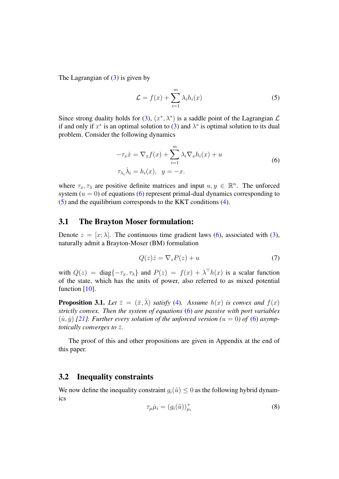The Lagrangian of [\(3\)](#page-3-0) is given by

<span id="page-4-1"></span>
$$
\mathcal{L} = f(x) + \sum_{i=1}^{m} \lambda_i h_i(x) \tag{5}
$$

Since strong duality holds for [\(3\)](#page-3-0),  $(x^*, \lambda^*)$  is a saddle point of the Lagrangian  $\mathcal L$ if and only if  $x^*$  is an optimal solution to [\(3\)](#page-3-0) and  $\lambda^*$  is optimal solution to its dual problem. Consider the following dynamics

$$
-\tau_x \dot{x} = \nabla_x f(x) + \sum_{i=1}^m \lambda_i \nabla_x h_i(x) + u
$$
  

$$
\tau_{\lambda_i} \dot{\lambda}_i = h_i(x), \quad y = -x.
$$
 (6)

<span id="page-4-0"></span>where  $\tau_x, \tau_\lambda$  are positive definite matrices and input  $u, y \in \mathbb{R}^n$ . The unforced system  $(u = 0)$  of equations [\(6\)](#page-4-0) represent primal-dual dynamics corresponding to [\(5\)](#page-4-1) and the equilibrium corresponds to the KKT conditions [\(4\)](#page-3-1).

### 3.1 The Brayton Moser formulation:

Denote  $z = [x; \lambda]$ . The continuous time gradient laws [\(6\)](#page-4-0), associated with [\(3\)](#page-3-0), naturally admit a Brayton-Moser (BM) formulation

$$
Q(z)\dot{z} = \nabla_z P(z) + u \tag{7}
$$

with  $Q(z) = \text{diag}\{-\tau_x, \tau_\lambda\}$  and  $P(z) = f(x) + \lambda^\top h(x)$  is a scalar function of the state, which has the units of power, also referred to as mixed potential function [\[10\]](#page-20-2).

<span id="page-4-3"></span>**Proposition 3.1.** *Let*  $\bar{z} = (\bar{x}, \bar{\lambda})$  *satisfy* [\(4\)](#page-3-1)*.* Assume  $h(x)$  *is convex and*  $f(x)$ *strictly convex. Then the system of equations* [\(6\)](#page-4-0) *are passive with port variables*  $(i, j)$  [\[21\]](#page-21-2). Further every solution of the unforced version ( $u = 0$ ) of [\(6\)](#page-4-0) asymp*totically converges to*  $\bar{z}$ *.* 

The proof of this and other propositions are given in Appendix at the end of this paper.

#### 3.2 Inequality constraints

We now define the inequality constraint  $q_i(\tilde{u}) \leq 0$  as the following hybrid dynamics

<span id="page-4-2"></span>
$$
\tau_{\mu}\dot{\mu}_i = (g_i(\tilde{u}))_{\mu_i}^+ \tag{8}
$$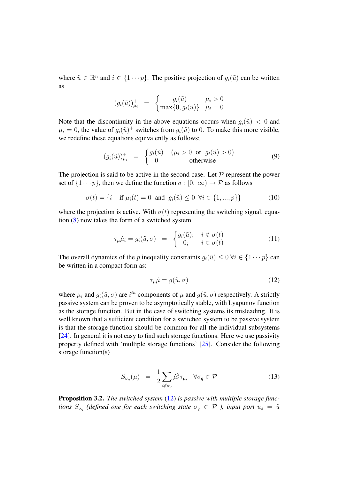where  $\tilde{u} \in \mathbb{R}^n$  and  $i \in \{1 \cdots p\}$ . The positive projection of  $g_i(\tilde{u})$  can be written as

$$
(g_i(\tilde{u}))_{\mu_i}^+ = \begin{cases} g_i(\tilde{u}) & \mu_i > 0\\ \max\{0, g_i(\tilde{u})\} & \mu_i = 0 \end{cases}
$$

Note that the discontinuity in the above equations occurs when  $q_i(\tilde{u}) < 0$  and  $\mu_i = 0$ , the value of  $g_i(\tilde{u})^+$  switches from  $g_i(\tilde{u})$  to 0. To make this more visible, we redefine these equations equivalently as follows;

$$
(g_i(\tilde{u}))_{\mu_i}^+ = \begin{cases} g_i(\tilde{u}) & (\mu_i > 0 \text{ or } g_i(\tilde{u}) > 0) \\ 0 & \text{otherwise} \end{cases}
$$
(9)

The projection is said to be active in the second case. Let  $P$  represent the power set of  $\{1 \cdots p\}$ , then we define the function  $\sigma : [0, \infty) \to \mathcal{P}$  as follows

<span id="page-5-3"></span>
$$
\sigma(t) = \{i \mid \text{ if } \mu_i(t) = 0 \text{ and } g_i(\tilde{u}) \le 0 \ \forall i \in \{1, ..., p\}\}\
$$
 (10)

where the projection is active. With  $\sigma(t)$  representing the switching signal, equation [\(8\)](#page-4-2) now takes the form of a switched system

$$
\tau_{\mu}\dot{\mu}_{i}=g_{i}(\tilde{u},\sigma) = \begin{cases} g_{i}(\tilde{u}); & i \notin \sigma(t) \\ 0; & i \in \sigma(t) \end{cases}
$$
(11)

The overall dynamics of the p inequality constraints  $g_i(\tilde{u}) \leq 0 \ \forall i \in \{1 \cdots p\}$  can be written in a compact form as:

<span id="page-5-0"></span>
$$
\tau_{\mu}\dot{\mu} = g(\tilde{u}, \sigma) \tag{12}
$$

where  $\mu_i$  and  $g_i(\tilde{u}, \sigma)$  are  $i^{th}$  components of  $\mu$  and  $g(\tilde{u}, \sigma)$  respectively. A strictly passive system can be proven to be asymptotically stable, with Lyapunov function as the storage function. But in the case of switching systems its misleading. It is well known that a sufficient condition for a switched system to be passive system is that the storage function should be common for all the individual subsystems [\[24\]](#page-21-5). In general it is not easy to find such storage functions. Here we use passivity property defined with 'multiple storage functions' [\[25\]](#page-21-6). Consider the following storage function(s)

<span id="page-5-2"></span>
$$
S_{\sigma_q}(\mu) = \frac{1}{2} \sum_{i \notin \sigma_q} \dot{\mu}_i^2 \tau_{\mu_i} \quad \forall \sigma_q \in \mathcal{P}
$$
 (13)

<span id="page-5-1"></span>Proposition 3.2. *The switched system* [\(12\)](#page-5-0) *is passive with multiple storage functions*  $S_{\sigma q}$  (defined one for each switching state  $\sigma_q \in \mathcal{P}$  ), input port  $u_s = \dot{\tilde{u}}$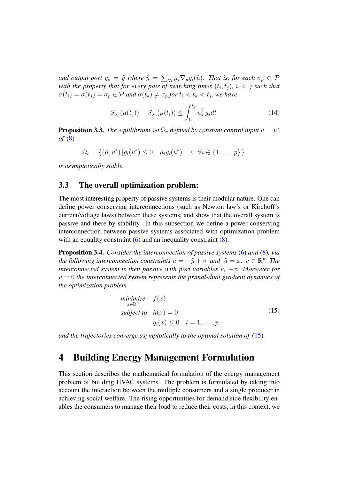and output port  $y_s = \dot{\tilde{y}}$  where  $\tilde{y} = \sum_{\forall i} \mu_i \nabla_{\tilde{u}} g_i(\tilde{u})$ *. That is, for each*  $\sigma_p \in \mathcal{P}$ with the property that for every pair of switching times  $(t_i, t_j)$ ,  $i < j$  such that  $\sigma(t_i) = \sigma(t_j) = \sigma_p \in \mathcal{P}$  and  $\sigma(t_k) \neq \sigma_p$  for  $t_i < t_k < t_j$ , we have

$$
S_{\sigma_p}(\mu(t_j)) - S_{\sigma_p}(\mu(t_i)) \le \int_{t_i}^{t_j} u_s^\top y_s dt \tag{14}
$$

<span id="page-6-3"></span>**Proposition 3.3.** *The equilibrium set*  $\Omega_e$  *defined by constant control input*  $\tilde{u} = \tilde{u}^*$ *of* [\(8\)](#page-4-2)

$$
\Omega_e = \{ (\bar{\mu}, \tilde{u}^*) | g_i(\tilde{u}^*) \le 0, \ \ \bar{\mu}_i g_i(\tilde{u}^*) = 0 \ \forall i \in \{1, \dots, p\} \}
$$

*is asymptotically stable.*

### <span id="page-6-1"></span>3.3 The overall optimization problem:

The most interesting property of passive systems is their modular nature. One can define power conserving interconnections (such as Newton law's or Kirchoff's current/voltage laws) between these systems, and show that the overall system is passive and there by stability. In this subsection we define a power conserving interconnection between passive systems associated with optimization problem with an equality constraint  $(6)$  and an inequality constraint  $(8)$ .

<span id="page-6-2"></span>Proposition 3.4. *Consider the interconnection of passive systems* [\(6\)](#page-4-0) *and* [\(8\)](#page-4-2)*, via the following interconnection constraints*  $u = -\tilde{y} + v$  *and*  $\tilde{u} = x, v \in \mathbb{R}^p$ . The *interconnected system is then passive with port variables*  $\dot{v}$ *,*  $-\dot{x}$ *. Moreover for*  $v = 0$  *the interconnected system represents the primal-dual gradient dynamics of the optimization problem*

<span id="page-6-0"></span>
$$
\begin{array}{ll}\n\text{minimize} & f(x) \\
\text{subject to} & h(x) = 0 \\
& g_i(x) \le 0 \quad i = 1, \dots, p\n\end{array} \tag{15}
$$

*and the trajectories converge asymptotically to the optimal solution of* [\(15\)](#page-6-0)*.*

## 4 Building Energy Management Formulation

This section describes the mathematical formulation of the energy management problem of building HVAC systems. The problem is formulated by taking into account the interaction between the multiple consumers and a single producer in achieving social welfare. The rising opportunities for demand side flexibility enables the consumers to manage their load to reduce their costs, in this context, we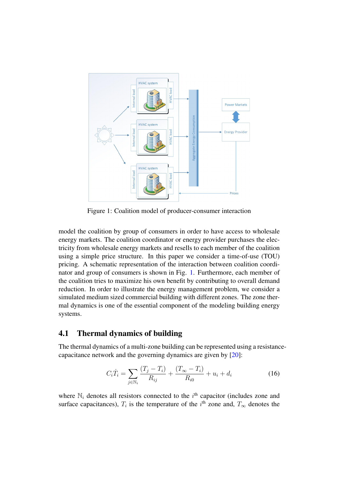<span id="page-7-0"></span>

Figure 1: Coalition model of producer-consumer interaction

model the coalition by group of consumers in order to have access to wholesale energy markets. The coalition coordinator or energy provider purchases the electricity from wholesale energy markets and resells to each member of the coalition using a simple price structure. In this paper we consider a time-of-use (TOU) pricing. A schematic representation of the interaction between coalition coordinator and group of consumers is shown in Fig. [1.](#page-7-0) Furthermore, each member of the coalition tries to maximize his own benefit by contributing to overall demand reduction. In order to illustrate the energy management problem, we consider a simulated medium sized commercial building with different zones. The zone thermal dynamics is one of the essential component of the modeling building energy systems.

### 4.1 Thermal dynamics of building

The thermal dynamics of a multi-zone building can be represented using a resistancecapacitance network and the governing dynamics are given by [\[20\]](#page-21-1):

<span id="page-7-1"></span>
$$
C_i \dot{T}_i = \sum_{j \in \mathbb{N}_i} \frac{(T_j - T_i)}{R_{ij}} + \frac{(T_{\infty} - T_i)}{R_{i0}} + u_i + d_i \tag{16}
$$

where  $\mathbb{N}_i$  denotes all resistors connected to the  $i^{\text{th}}$  capacitor (includes zone and surface capacitances),  $T_i$  is the temperature of the i<sup>th</sup> zone and,  $T_{\infty}$  denotes the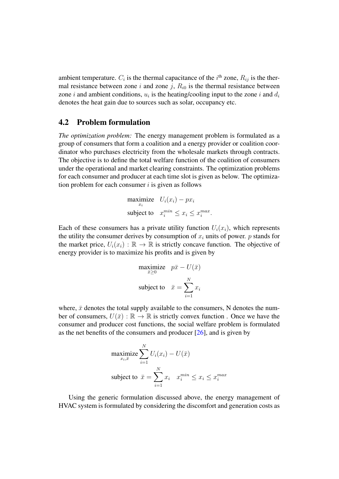ambient temperature.  $C_i$  is the thermal capacitance of the  $i<sup>th</sup>$  zone,  $R_{ij}$  is the thermal resistance between zone i and zone j,  $R_{i0}$  is the thermal resistance between zone *i* and ambient conditions,  $u_i$  is the heating/cooling input to the zone *i* and  $d_i$ denotes the heat gain due to sources such as solar, occupancy etc.

### 4.2 Problem formulation

*The optimization problem:* The energy management problem is formulated as a group of consumers that form a coalition and a energy provider or coalition coordinator who purchases electricity from the wholesale markets through contracts. The objective is to define the total welfare function of the coalition of consumers under the operational and market clearing constraints. The optimization problems for each consumer and producer at each time slot is given as below. The optimization problem for each consumer  $i$  is given as follows

$$
\begin{aligned}\n\text{maximize} \quad & U_i(x_i) - px_i \\
\text{subject to} \quad & x_i^{min} \le x_i \le x_i^{max}.\n\end{aligned}
$$

Each of these consumers has a private utility function  $U_i(x_i)$ , which represents the utility the consumer derives by consumption of  $x_i$  units of power. p stands for the market price,  $U_i(x_i) : \mathbb{R} \to \mathbb{R}$  is strictly concave function. The objective of energy provider is to maximize his profits and is given by

$$
\begin{aligned}\n\text{maximize} & \quad p\bar{x} - U(\bar{x}) \\
\text{subject to} & \quad \bar{x} = \sum_{i=1}^{N} x_i\n\end{aligned}
$$

where,  $\bar{x}$  denotes the total supply available to the consumers, N denotes the number of consumers,  $U(\bar{x}): \mathbb{R} \to \mathbb{R}$  is strictly convex function. Once we have the consumer and producer cost functions, the social welfare problem is formulated as the net benefits of the consumers and producer  $[26]$ , and is given by

$$
\begin{aligned}\n\text{maximize} & \sum_{x_i, \bar{x}}^N U_i(x_i) - U(\bar{x}) \\
\text{subject to} & \bar{x} = \sum_{i=1}^N x_i \quad x_i^{min} \le x_i \le x_i^{max}\n\end{aligned}
$$

Using the generic formulation discussed above, the energy management of HVAC system is formulated by considering the discomfort and generation costs as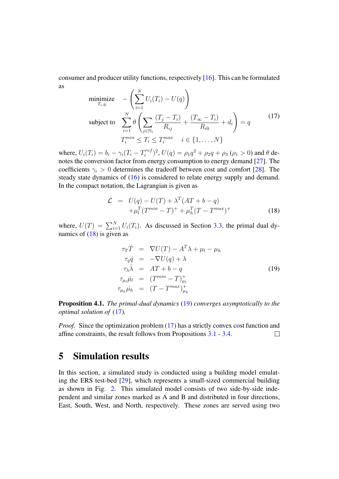consumer and producer utility functions, respectively [\[16\]](#page-20-8). This can be formulated as

<span id="page-9-2"></span>
$$
\underset{T_i,q}{\text{minimize}} \quad -\left(\sum_{i=1}^{N} U_i(T_i) - U(q)\right)
$$
\n
$$
\text{subject to} \quad \sum_{i=1}^{N} \theta \left(\sum_{j \in \mathbb{N}_i} \frac{(T_j - T_i)}{R_{ij}} + \frac{(T_{\infty} - T_i)}{R_{i0}} + d_i\right) = q
$$
\n
$$
T_i^{\min} \le T_i \le T_i^{\max} \quad i \in \{1, \dots, N\}
$$
\n
$$
(17)
$$

where,  $U_i(T_i) = b_i - \gamma_i (T_i - T_i^{ref})$  $\int_i^{ref}$ )<sup>2</sup>,  $U(q) = \rho_1 q^2 + \rho_2 q + \rho_3$  ( $\rho_1 > 0$ ) and  $\theta$  denotes the conversion factor from energy consumption to energy demand [\[27\]](#page-21-8). The coefficients  $\gamma_i > 0$  determines the tradeoff between cost and comfort [\[28\]](#page-21-9). The steady state dynamics of [\(16\)](#page-7-1) is considered to relate energy supply and demand. In the compact notation, the Lagrangian is given as

<span id="page-9-0"></span>
$$
\mathcal{L} = U(q) - U(T) + \lambda^T (AT + b - q)
$$
  
+  $\mu_l^T (T^{min} - T)^+ + \mu_h^T (T - T^{max})^+$  (18)

where,  $U(T) = \sum_{i=1}^{N} U_i(T_i)$ . As discussed in Section [3.3,](#page-6-1) the primal dual dynamics of [\(18\)](#page-9-0) is given as

<span id="page-9-1"></span>
$$
\tau_T \dot{T} = \nabla U(T) - A^T \lambda + \mu_l - \mu_h
$$
\n
$$
\tau_q \dot{q} = -\nabla U(q) + \lambda
$$
\n
$$
\tau_\lambda \dot{\lambda} = AT + b - q
$$
\n
$$
\tau_{\mu_l} \dot{\mu}_l = (T^{min} - T)_{\mu_l}^+
$$
\n
$$
\tau_{\mu_h} \dot{\mu}_h = (T - T^{max})_{\mu_h}^+
$$
\n(19)

Proposition 4.1. *The primal-dual dynamics* [\(19\)](#page-9-1) *converges asymptotically to the optimal solution of* [\(17\)](#page-9-2)*.*

*Proof.* Since the optimization problem [\(17\)](#page-9-2) has a strictly convex cost function and affine constraints, the result follows from Propositions [3.1](#page-4-3) - [3.4.](#page-6-2)  $\Box$ 

## <span id="page-9-3"></span>5 Simulation results

In this section, a simulated study is conducted using a building model emulating the ERS test-bed [\[29\]](#page-21-10), which represents a small-sized commercial building as shown in Fig. [2.](#page-10-0) This simulated model consists of two side-by-side independent and similar zones marked as A and B and distributed in four directions, East, South, West, and North, respectively. These zones are served using two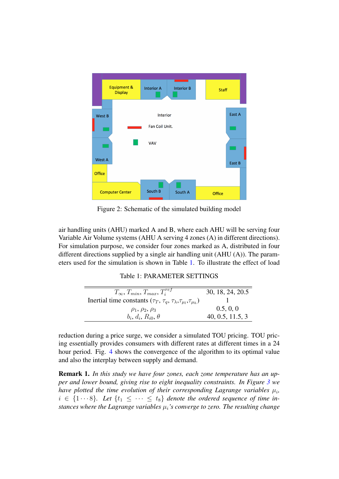<span id="page-10-0"></span>

Figure 2: Schematic of the simulated building model

air handling units (AHU) marked A and B, where each AHU will be serving four Variable Air Volume systems (AHU A serving 4 zones (A) in different directions). For simulation purpose, we consider four zones marked as A, distributed in four different directions supplied by a single air handling unit (AHU (A)). The parameters used for the simulation is shown in Table [1.](#page-10-1) To illustrate the effect of load

#### Table 1: PARAMETER SETTINGS

<span id="page-10-1"></span>

| $T_\infty, T_{min}, T_{max}, T_i^{ref}$                                                              | 30, 18, 24, 20.5 |
|------------------------------------------------------------------------------------------------------|------------------|
| Inertial time constants ( $\tau_T$ , $\tau_q$ , $\tau_{\lambda}$ , $\tau_{\mu_l}$ , $\tau_{\mu_h}$ ) |                  |
| $\rho_1, \rho_2, \rho_3$                                                                             | 0.5, 0, 0        |
| $b_i, d_i, R_{i0}, \theta$                                                                           | 40, 0.5, 11.5, 3 |

reduction during a price surge, we consider a simulated TOU pricing. TOU pricing essentially provides consumers with different rates at different times in a 24 hour period. Fig. [4](#page-13-0) shows the convergence of the algorithm to its optimal value and also the interplay between supply and demand.

Remark 1. *In this study we have four zones, each zone temperature has an upper and lower bound, giving rise to eight inequality constraints. In Figure [3](#page-11-0) we* have plotted the time evolution of their corresponding Lagrange variables  $\mu_i$ ,  $i \in \{1 \cdots 8\}$ . Let  $\{t_1 \leq \cdots \leq t_8\}$  denote the ordered sequence of time in*stances where the Lagrange variables*  $\mu_i$ *'s converge to zero. The resulting change*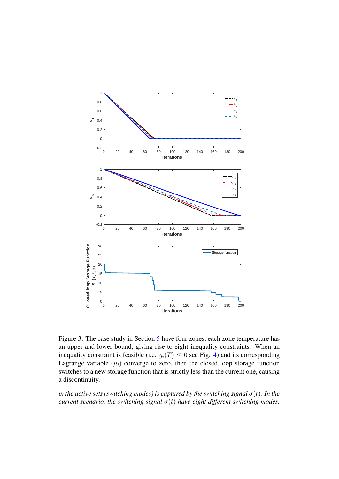<span id="page-11-0"></span>

Figure 3: The case study in Section [5](#page-9-3) have four zones, each zone temperature has an upper and lower bound, giving rise to eight inequality constraints. When an inequality constraint is feasible (i.e.  $g_i(T) \leq 0$  see Fig. [4\)](#page-13-0) and its corresponding Lagrange variable  $(\mu_i)$  converge to zero, then the closed loop storage function switches to a new storage function that is strictly less than the current one, causing a discontinuity.

*in the active sets (switching modes) is captured by the switching signal*  $\sigma(t)$ *. In the current scenario, the switching signal*  $\sigma(t)$  *have eight different switching modes,*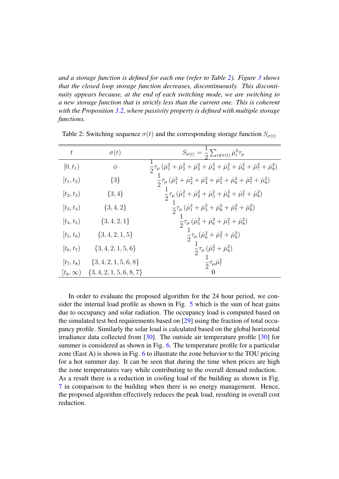*and a storage function is defined for each one (refer to Table [2\)](#page-12-0). Figure [3](#page-11-0) shows that the closed loop storage function decreases, discontinuously. This discontinuity appears because, at the end of each switching mode, we are switching to a new storage function that is strictly less than the current one. This is coherent with the Proposition [3.2,](#page-5-1) where passivity property is defined with multiple storage functions.*

| $t\,$            | $\sigma(t)$           | $S_{\sigma(t)} = \frac{1}{2} \sum_{i \notin \sigma(t)} \dot{\mu}_i^2 \tau_\mu$                                                           |
|------------------|-----------------------|------------------------------------------------------------------------------------------------------------------------------------------|
| $[0, t_1)$       | $\phi$                | $\frac{1}{2}\tau_{\mu}(\dot{\mu}_1^2+\dot{\mu}_2^2+\dot{\mu}_3^2+\dot{\mu}_4^2+\dot{\mu}_5^2+\dot{\mu}_6^2+\dot{\mu}_7^2+\dot{\mu}_8^2)$ |
| $[t_1, t_2)$     | $\{3\}$               | $\frac{1}{2}\tau_{\mu}(\dot{\mu}_1^2+\dot{\mu}_2^2+\dot{\mu}_4^2+\dot{\mu}_5^2+\dot{\mu}_6^2+\dot{\mu}_7^2+\dot{\mu}_8^2)$               |
| $[t_2,t_3)$      | $\{3,4\}$             | $\frac{1}{2}\tau_{\mu}(\dot{\mu}_1^2+\dot{\mu}_2^2+\dot{\mu}_5^2+\dot{\mu}_6^2+\dot{\mu}_7^2+\dot{\mu}_8^2)$                             |
| $[t_3, t_4)$     | $\{3,4,2\}$           | $\frac{1}{2}\tau_{\mu}(\dot{\mu}_1^2+\dot{\mu}_5^2+\dot{\mu}_6^2+\dot{\mu}_7^2+\dot{\mu}_8^2)$                                           |
| $[t_4, t_5]$     | $\{3,4,2,1\}$         | $\frac{1}{2}\tau_{\mu}(\dot{\mu}_5^2+\dot{\mu}_6^2+\dot{\mu}_7^2+\dot{\mu}_8^2)$                                                         |
| $[t_{5}, t_{6})$ | $\{3,4,2,1,5\}$       | $\frac{1}{2}\tau_{\mu}(\dot{\mu}_6^2+\dot{\mu}_7^2+\dot{\mu}_8^2)$                                                                       |
| $[t_6, t_7]$     | $\{3,4,2,1,5,6\}$     | $\frac{1}{2}\tau_{\mu}(\dot{\mu}_7^2+\dot{\mu}_8^2)$                                                                                     |
| $[t_7, t_8]$     | $\{3,4,2,1,5,6,8\}$   | $\frac{1}{2} \tau_{\mu} \dot{\mu}_{7}^{2}$                                                                                               |
| $(t_8,\infty)$   | $\{3,4,2,1,5,6,8,7\}$ |                                                                                                                                          |

<span id="page-12-0"></span>Table 2: Switching sequence  $\sigma(t)$  and the corresponding storage function  $S_{\sigma(t)}$ 

In order to evaluate the proposed algorithm for the 24 hour period, we consider the internal load profile as shown in Fig. [5](#page-13-1) which is the sum of heat gains due to occupancy and solar radiation. The occupancy load is computed based on the simulated test bed requirements based on [\[29\]](#page-21-10) using the fraction of total occupancy profile. Similarly the solar load is calculated based on the global horizontal irradiance data collected from [\[30\]](#page-21-11). The outside air temperature profile [\[30\]](#page-21-11) for summer is considered as shown in Fig. [6.](#page-14-0) The temperature profile for a particular zone (East A) is shown in Fig. [6](#page-14-0) to illustrate the zone behavior to the TOU pricing for a hot summer day. It can be seen that during the time when prices are high the zone temperatures vary while contributing to the overall demand reduction. As a result there is a reduction in cooling load of the building as shown in Fig. in comparison to the building when there is no energy management. Hence, the proposed algorithm effectively reduces the peak load, resulting in overall cost reduction.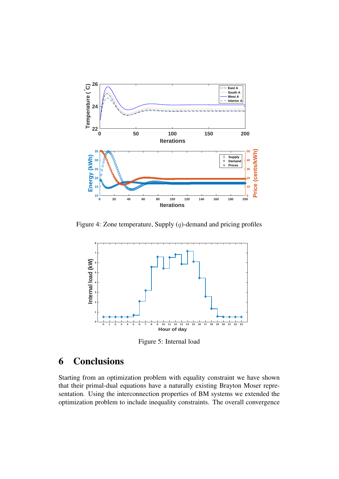<span id="page-13-0"></span>

<span id="page-13-1"></span>Figure 4: Zone temperature, Supply  $(q)$ -demand and pricing profiles



Figure 5: Internal load

# 6 Conclusions

Starting from an optimization problem with equality constraint we have shown that their primal-dual equations have a naturally existing Brayton Moser representation. Using the interconnection properties of BM systems we extended the optimization problem to include inequality constraints. The overall convergence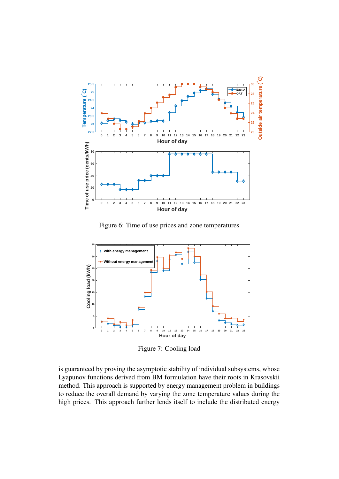<span id="page-14-0"></span>

Figure 6: Time of use prices and zone temperatures

<span id="page-14-1"></span>

Figure 7: Cooling load

is guaranteed by proving the asymptotic stability of individual subsystems, whose Lyapunov functions derived from BM formulation have their roots in Krasovskii method. This approach is supported by energy management problem in buildings to reduce the overall demand by varying the zone temperature values during the high prices. This approach further lends itself to include the distributed energy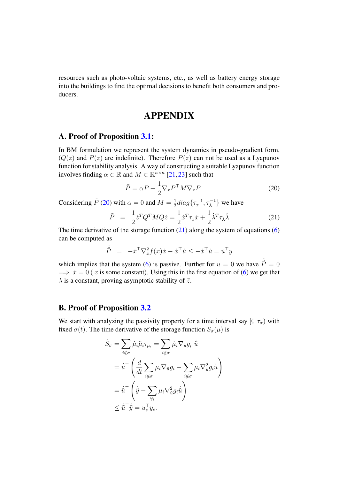resources such as photo-voltaic systems, etc., as well as battery energy storage into the buildings to find the optimal decisions to benefit both consumers and producers.

## APPENDIX

### A. Proof of Proposition [3.1:](#page-4-3)

In BM formulation we represent the system dynamics in pseudo-gradient form,  $(Q(z)$  and  $P(z)$  are indefinite). Therefore  $P(z)$  can not be used as a Lyapunov function for stability analysis. A way of constructing a suitable Lyapunov function involves finding  $\alpha \in \mathbb{R}$  and  $M \in \mathbb{R}^{n \times n}$  [\[21,](#page-21-2) [23\]](#page-21-4) such that

<span id="page-15-0"></span>
$$
\tilde{P} = \alpha P + \frac{1}{2} \nabla_x P^\top M \nabla_x P.
$$
\n(20)

Considering  $\tilde{P}$  [\(20\)](#page-15-0) with  $\alpha = 0$  and  $M = \frac{1}{2}$  $\frac{1}{2}diag\{\tau_x^{-1}, \tau_\lambda^{-1}\}\$  we have

<span id="page-15-1"></span>
$$
\tilde{P} = \frac{1}{2} \dot{z}^T Q^T M Q \dot{z} = \frac{1}{2} \dot{x}^T \tau_x \dot{x} + \frac{1}{2} \dot{\lambda}^T \tau_\lambda \dot{\lambda}
$$
\n(21)

The time derivative of the storage function  $(21)$  along the system of equations  $(6)$ can be computed as

$$
\dot{\tilde{P}} = -\dot{x}^{\top} \nabla_x^2 f(x) \dot{x} - \dot{x}^{\top} \dot{u} \le -\dot{x}^{\top} \dot{u} = \dot{u}^{\top} \dot{y}
$$

which implies that the system [\(6\)](#page-4-0) is passive. Further for  $u = 0$  we have  $\dot{\tilde{P}} = 0$  $\implies \dot{x} = 0$  ( x is some constant). Using this in the first equation of [\(6\)](#page-4-0) we get that  $\lambda$  is a constant, proving asymptotic stability of  $\bar{z}$ .

### B. Proof of Proposition [3.2](#page-5-1)

We start with analyzing the passivity property for a time interval say  $[0, \tau_{\sigma})$  with fixed  $\sigma(t)$ . The time derivative of the storage function  $S_{\sigma}(\mu)$  is

<span id="page-15-2"></span>
$$
\dot{S}_{\sigma} = \sum_{i \notin \sigma} \dot{\mu}_{i} \ddot{\mu}_{i} \tau_{\mu_{i}} = \sum_{i \notin \sigma} \dot{\mu}_{i} \nabla_{\tilde{u}} g_{i}^{\top} \dot{\tilde{u}} \n= \dot{\tilde{u}}^{\top} \left( \frac{d}{dt} \sum_{i \notin \sigma} \mu_{i} \nabla_{\tilde{u}} g_{i} - \sum_{i \notin \sigma} \mu_{i} \nabla_{\tilde{u}}^{2} g_{i} \dot{\tilde{u}} \right) \n= \dot{\tilde{u}}^{\top} \left( \dot{\tilde{y}} - \sum_{\forall i} \mu_{i} \nabla_{\tilde{u}}^{2} g_{i} \dot{\tilde{u}} \right) \n\leq \dot{\tilde{u}}^{\top} \dot{\tilde{y}} = u_{s}^{\top} y_{s}.
$$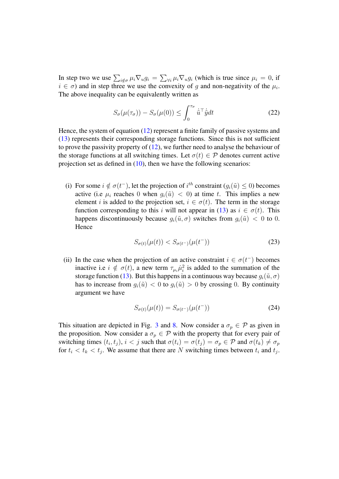In step two we use  $\sum_{i \notin \sigma} \mu_i \nabla_u g_i = \sum_{\forall i} \mu_i \nabla_u g_i$  (which is true since  $\mu_i = 0$ , if  $i \in \sigma$ ) and in step three we use the convexity of g and non-negativity of the  $\mu_i$ . The above inequality can be equivalently written as

$$
S_{\sigma}(\mu(\tau_{\sigma})) - S_{\sigma}(\mu(0)) \le \int_0^{\tau_{\sigma}} \dot{\tilde{u}}^{\top} \dot{\tilde{y}} dt \tag{22}
$$

Hence, the system of equation [\(12\)](#page-5-0) represent a finite family of passive systems and [\(13\)](#page-5-2) represents their corresponding storage functions. Since this is not sufficient to prove the passivity property of  $(12)$ , we further need to analyse the behaviour of the storage functions at all switching times. Let  $\sigma(t) \in \mathcal{P}$  denotes current active projection set as defined in  $(10)$ , then we have the following scenarios:

(i) For some  $i \notin \sigma(t^-)$ , let the projection of  $i^{th}$  constraint  $(g_i(\tilde{u}) \leq 0)$  becomes active (i.e  $\mu_i$  reaches 0 when  $g_i(\tilde{u}) < 0$ ) at time t. This implies a new element i is added to the projection set,  $i \in \sigma(t)$ . The term in the storage function corresponding to this i will not appear in [\(13\)](#page-5-2) as  $i \in \sigma(t)$ . This happens discontinuously because  $g_i(\tilde{u}, \sigma)$  switches from  $g_i(\tilde{u}) < 0$  to 0. Hence

<span id="page-16-0"></span>
$$
S_{\sigma(t)}(\mu(t)) < S_{\sigma(t^-)}(\mu(t^-)) \tag{23}
$$

(ii) In the case when the projection of an active constraint  $i \in \sigma(t^{-})$  becomes inactive i.e  $i \notin \sigma(t)$ , a new term  $\tau_{\mu_i} \dot{\mu}_i^2$  is added to the summation of the storage function [\(13\)](#page-5-2). But this happens in a continuous way because  $g_i(\tilde{u}, \sigma)$ has to increase from  $q_i(\tilde{u}) < 0$  to  $q_i(\tilde{u}) > 0$  by crossing 0. By continuity argument we have

<span id="page-16-1"></span>
$$
S_{\sigma(t)}(\mu(t)) = S_{\sigma(t^-)}(\mu(t^-))
$$
\n(24)

This situation are depicted in Fig. [3](#page-11-0) and [8.](#page-17-0) Now consider a  $\sigma_p \in \mathcal{P}$  as given in the proposition. Now consider a  $\sigma_p \in \mathcal{P}$  with the property that for every pair of switching times  $(t_i, t_j)$ ,  $i < j$  such that  $\sigma(t_i) = \sigma(t_j) = \sigma_p \in \mathcal{P}$  and  $\sigma(t_k) \neq \sigma_p$ for  $t_i < t_k < t_j$ . We assume that there are N switching times between  $t_i$  and  $t_j$ .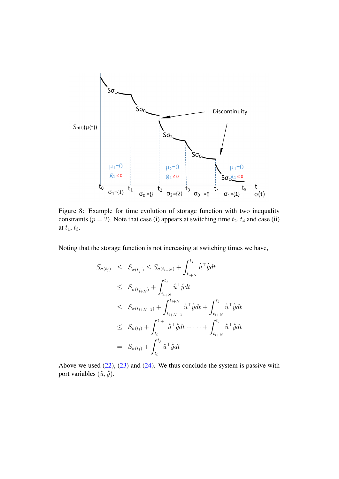<span id="page-17-0"></span>

Figure 8: Example for time evolution of storage function with two inequality constraints ( $p = 2$ ). Note that case (i) appears at switching time  $t_2$ ,  $t_4$  and case (ii) at  $t_1, t_3$ .

Noting that the storage function is not increasing at switching times we have,

$$
S_{\sigma(t_j)} \leq S_{\sigma(t_{j}^-)} \leq S_{\sigma(t_{i+N})} + \int_{t_{i+N}}^{t_j} \dot{\tilde{u}}^{\top} \dot{\tilde{y}} dt
$$
  
\n
$$
\leq S_{\sigma(t_{i+N}^-)} + \int_{t_{i+N}}^{t_j} \dot{\tilde{u}}^{\top} \dot{\tilde{y}} dt
$$
  
\n
$$
\leq S_{\sigma(t_{i+N-1})} + \int_{t_{i+N-1}}^{t_{i+N}} \dot{\tilde{u}}^{\top} \dot{\tilde{y}} dt + \int_{t_{i+N}}^{t_j} \dot{\tilde{u}}^{\top} \dot{\tilde{y}} dt
$$
  
\n
$$
\leq S_{\sigma(t_i)} + \int_{t_i}^{t_{i+1}} \dot{\tilde{u}}^{\top} \dot{\tilde{y}} dt + \dots + \int_{t_{i+N}}^{t_j} \dot{\tilde{u}}^{\top} \dot{\tilde{y}} dt
$$
  
\n
$$
= S_{\sigma(t_i)} + \int_{t_i}^{t_j} \dot{\tilde{u}}^{\top} \dot{\tilde{y}} dt
$$

Above we used  $(22)$ ,  $(23)$  and  $(24)$ . We thus conclude the system is passive with port variables  $(\dot{u}, \dot{y})$ .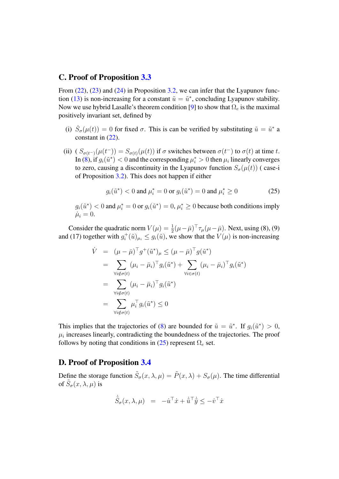#### C. Proof of Proposition [3.3](#page-6-3)

From  $(22)$ ,  $(23)$  and  $(24)$  in Proposition [3.2,](#page-5-1) we can infer that the Lyapunov func-tion [\(13\)](#page-5-2) is non-increasing for a constant  $\tilde{u} = \tilde{u}^*$ , concluding Lyapunov stability. Now we use hybrid Lasalle's theorem condition [\[9\]](#page-20-1) to show that  $\Omega_e$  is the maximal positively invariant set, defined by

- (i)  $\dot{S}_{\sigma}(\mu(t)) = 0$  for fixed  $\sigma$ . This is can be verified by substituting  $\tilde{u} = \tilde{u}^*$  a constant in [\(22\)](#page-15-2).
- (ii)  $(S_{\sigma(t^-)}(\mu(t^-)) = S_{\sigma(t)}(\mu(t))$  if  $\sigma$  switches between  $\sigma(t^-)$  to  $\sigma(t)$  at time t. In [\(8\)](#page-4-2), if  $g_i(\tilde{u}^*) < 0$  and the corresponding  $\mu_i^* > 0$  then  $\mu_i$  linearly converges to zero, causing a discontinuity in the Lyapunov function  $S_{\sigma}(\mu(t))$  (case-i of Proposition [3.2\)](#page-5-1). This does not happen if either

<span id="page-18-0"></span>
$$
g_i(\tilde{u}^*) < 0
$$
 and  $\mu_i^* = 0$  or  $g_i(\tilde{u}^*) = 0$  and  $\mu_i^* \ge 0$  (25)

 $g_i(\tilde{u}^*)$  < 0 and  $\mu_i^* = 0$  or  $g_i(\tilde{u}^*) = 0$ ,  $\mu_i^* \ge 0$  because both conditions imply  $\dot{\mu}_i = 0.$ 

Consider the quadratic norm  $V(\mu) = \frac{1}{2}(\mu - \bar{\mu})^{\top} \tau_{\mu}(\mu - \bar{\mu})$ . Next, using (8), (9) and (17) together with  $g_i^+$  $i^{\dagger}(\tilde{u})_{\mu_i} \leq g_i(\tilde{u})$ , we show that the  $V(\mu)$  is non-increasing

$$
\dot{V} = (\mu - \bar{\mu})^{\top} g^{+}(\tilde{u}^{*})_{\mu} \leq (\mu - \bar{\mu})^{\top} g(\tilde{u}^{*})
$$
\n
$$
= \sum_{\forall i \notin \sigma(t)} (\mu_{i} - \bar{\mu}_{i})^{\top} g_{i}(\tilde{u}^{*}) + \sum_{\forall i \in \sigma(t)} (\mu_{i} - \bar{\mu}_{i})^{\top} g_{i}(\tilde{u}^{*})
$$
\n
$$
= \sum_{\forall i \notin \sigma(t)} (\mu_{i} - \bar{\mu}_{i})^{\top} g_{i}(\tilde{u}^{*})
$$
\n
$$
= \sum_{\forall i \notin \sigma(t)} \mu_{i}^{\top} g_{i}(\tilde{u}^{*}) \leq 0
$$

This implies that the trajectories of [\(8\)](#page-4-2) are bounded for  $\tilde{u} = \tilde{u}^*$ . If  $g_i(\tilde{u}^*) > 0$ ,  $\mu_i$  increases linearly, contradicting the boundedness of the trajectories. The proof follows by noting that conditions in [\(25\)](#page-18-0) represent  $\Omega_e$  set.

#### D. Proof of Proposition [3.4](#page-6-2)

Define the storage function  $\tilde{S}_{\sigma}(x,\lambda,\mu) = \tilde{P}(x,\lambda) + S_{\sigma}(\mu)$ . The time differential of  $\tilde{S}_{\sigma}(x,\lambda,\mu)$  is

$$
\dot{\tilde{S}}_{\sigma}(x,\lambda,\mu) = -\dot{u}^{\top}\dot{x} + \dot{\tilde{u}}^{\top}\dot{\tilde{y}} \leq -\dot{v}^{\top}\dot{x}
$$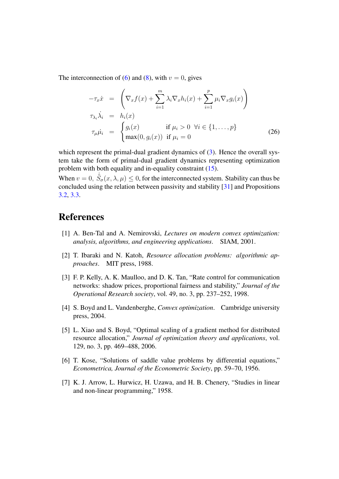The interconnection of [\(6\)](#page-4-0) and [\(8\)](#page-4-2), with  $v = 0$ , gives

$$
-\tau_x \dot{x} = \left(\nabla_x f(x) + \sum_{i=1}^m \lambda_i \nabla_x h_i(x) + \sum_{i=1}^p \mu_i \nabla_x g_i(x)\right)
$$
  
\n
$$
\tau_{\lambda_i} \dot{\lambda}_i = h_i(x)
$$
  
\n
$$
\tau_{\mu} \dot{\mu}_i = \begin{cases} g_i(x) & \text{if } \mu_i > 0 \ \forall i \in \{1, \dots, p\} \\ \max(0, g_i(x)) & \text{if } \mu_i = 0 \end{cases}
$$
 (26)

which represent the primal-dual gradient dynamics of [\(3\)](#page-3-0). Hence the overall system take the form of primal-dual gradient dynamics representing optimization problem with both equality and in-equality constraint [\(15\)](#page-6-0).

When  $v = 0$ ,  $\dot{\tilde{S}}_{\sigma}(x, \lambda, \mu) \leq 0$ , for the interconnected system. Stability can thus be concluded using the relation between passivity and stability  $\begin{bmatrix} 31 \end{bmatrix}$  and Propositions [3.2,](#page-5-1) [3.3.](#page-6-3)

# References

- <span id="page-19-0"></span>[1] A. Ben-Tal and A. Nemirovski, *Lectures on modern convex optimization: analysis, algorithms, and engineering applications*. SIAM, 2001.
- <span id="page-19-1"></span>[2] T. Ibaraki and N. Katoh, *Resource allocation problems: algorithmic approaches*. MIT press, 1988.
- <span id="page-19-2"></span>[3] F. P. Kelly, A. K. Maulloo, and D. K. Tan, "Rate control for communication networks: shadow prices, proportional fairness and stability," *Journal of the Operational Research society*, vol. 49, no. 3, pp. 237–252, 1998.
- <span id="page-19-3"></span>[4] S. Boyd and L. Vandenberghe, *Convex optimization*. Cambridge university press, 2004.
- <span id="page-19-4"></span>[5] L. Xiao and S. Boyd, "Optimal scaling of a gradient method for distributed resource allocation," *Journal of optimization theory and applications*, vol. 129, no. 3, pp. 469–488, 2006.
- <span id="page-19-5"></span>[6] T. Kose, "Solutions of saddle value problems by differential equations," *Econometrica, Journal of the Econometric Society*, pp. 59–70, 1956.
- <span id="page-19-6"></span>[7] K. J. Arrow, L. Hurwicz, H. Uzawa, and H. B. Chenery, "Studies in linear and non-linear programming," 1958.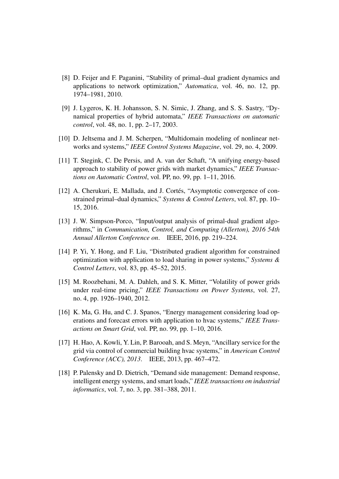- <span id="page-20-0"></span>[8] D. Feijer and F. Paganini, "Stability of primal–dual gradient dynamics and applications to network optimization," *Automatica*, vol. 46, no. 12, pp. 1974–1981, 2010.
- <span id="page-20-1"></span>[9] J. Lygeros, K. H. Johansson, S. N. Simic, J. Zhang, and S. S. Sastry, "Dynamical properties of hybrid automata," *IEEE Transactions on automatic control*, vol. 48, no. 1, pp. 2–17, 2003.
- <span id="page-20-2"></span>[10] D. Jeltsema and J. M. Scherpen, "Multidomain modeling of nonlinear networks and systems," *IEEE Control Systems Magazine*, vol. 29, no. 4, 2009.
- <span id="page-20-3"></span>[11] T. Stegink, C. De Persis, and A. van der Schaft, "A unifying energy-based approach to stability of power grids with market dynamics," *IEEE Transactions on Automatic Control*, vol. PP, no. 99, pp. 1–11, 2016.
- <span id="page-20-4"></span>[12] A. Cherukuri, E. Mallada, and J. Cortés, "Asymptotic convergence of constrained primal–dual dynamics," *Systems & Control Letters*, vol. 87, pp. 10– 15, 2016.
- <span id="page-20-5"></span>[13] J. W. Simpson-Porco, "Input/output analysis of primal-dual gradient algorithms," in *Communication, Control, and Computing (Allerton), 2016 54th Annual Allerton Conference on*. IEEE, 2016, pp. 219–224.
- <span id="page-20-6"></span>[14] P. Yi, Y. Hong, and F. Liu, "Distributed gradient algorithm for constrained optimization with application to load sharing in power systems," *Systems & Control Letters*, vol. 83, pp. 45–52, 2015.
- <span id="page-20-7"></span>[15] M. Roozbehani, M. A. Dahleh, and S. K. Mitter, "Volatility of power grids under real-time pricing," *IEEE Transactions on Power Systems*, vol. 27, no. 4, pp. 1926–1940, 2012.
- <span id="page-20-8"></span>[16] K. Ma, G. Hu, and C. J. Spanos, "Energy management considering load operations and forecast errors with application to hvac systems," *IEEE Transactions on Smart Grid*, vol. PP, no. 99, pp. 1–10, 2016.
- <span id="page-20-9"></span>[17] H. Hao, A. Kowli, Y. Lin, P. Barooah, and S. Meyn, "Ancillary service for the grid via control of commercial building hvac systems," in *American Control Conference (ACC), 2013*. IEEE, 2013, pp. 467–472.
- <span id="page-20-10"></span>[18] P. Palensky and D. Dietrich, "Demand side management: Demand response, intelligent energy systems, and smart loads," *IEEE transactions on industrial informatics*, vol. 7, no. 3, pp. 381–388, 2011.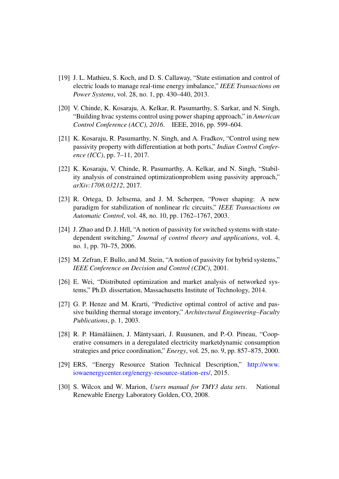- <span id="page-21-0"></span>[19] J. L. Mathieu, S. Koch, and D. S. Callaway, "State estimation and control of electric loads to manage real-time energy imbalance," *IEEE Transactions on Power Systems*, vol. 28, no. 1, pp. 430–440, 2013.
- <span id="page-21-1"></span>[20] V. Chinde, K. Kosaraju, A. Kelkar, R. Pasumarthy, S. Sarkar, and N. Singh, "Building hvac systems control using power shaping approach," in *American Control Conference (ACC), 2016*. IEEE, 2016, pp. 599–604.
- <span id="page-21-2"></span>[21] K. Kosaraju, R. Pasumarthy, N. Singh, and A. Fradkov, "Control using new passivity property with differentiation at both ports," *Indian Control Conference (ICC)*, pp. 7–11, 2017.
- <span id="page-21-3"></span>[22] K. Kosaraju, V. Chinde, R. Pasumarthy, A. Kelkar, and N. Singh, "Stability analysis of constrained optimizationproblem using passivity approach," *arXiv:1708.03212*, 2017.
- <span id="page-21-4"></span>[23] R. Ortega, D. Jeltsema, and J. M. Scherpen, "Power shaping: A new paradigm for stabilization of nonlinear rlc circuits," *IEEE Transactions on Automatic Control*, vol. 48, no. 10, pp. 1762–1767, 2003.
- <span id="page-21-5"></span>[24] J. Zhao and D. J. Hill, "A notion of passivity for switched systems with statedependent switching," *Journal of control theory and applications*, vol. 4, no. 1, pp. 70–75, 2006.
- <span id="page-21-6"></span>[25] M. Zefran, F. Bullo, and M. Stein, "A notion of passivity for hybrid systems," *IEEE Conference on Decision and Control (CDC)*, 2001.
- <span id="page-21-7"></span>[26] E. Wei, "Distributed optimization and market analysis of networked systems," Ph.D. dissertation, Massachusetts Institute of Technology, 2014.
- <span id="page-21-8"></span>[27] G. P. Henze and M. Krarti, "Predictive optimal control of active and passive building thermal storage inventory," *Architectural Engineering–Faculty Publications*, p. 1, 2003.
- <span id="page-21-9"></span>[28] R. P. Hämäläinen, J. Mäntysaari, J. Ruusunen, and P.-O. Pineau, "Cooperative consumers in a deregulated electricity marketdynamic consumption strategies and price coordination," *Energy*, vol. 25, no. 9, pp. 857–875, 2000.
- <span id="page-21-10"></span>[29] ERS, "Energy Resource Station Technical Description," [http://www.](http://www.iowaenergycenter.org/energy-resource-station-ers/) [iowaenergycenter.org/energy-resource-station-ers/,](http://www.iowaenergycenter.org/energy-resource-station-ers/) 2015.
- <span id="page-21-11"></span>[30] S. Wilcox and W. Marion, *Users manual for TMY3 data sets*. National Renewable Energy Laboratory Golden, CO, 2008.